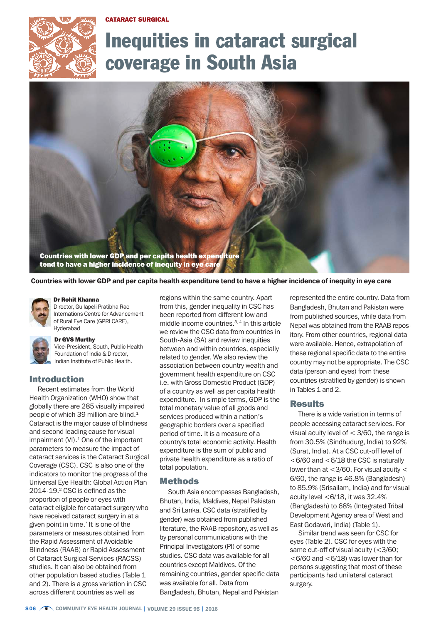CATARACT SURGICAL



# Inequities in cataract surgical coverage in South Asia



Countries with lower GDP and per capita health expenditure tend to have a higher incidence of inequity in eye care

#### Dr Rohit Khanna

Director, Gullapeli Pratibha Rao Internations Centre for Advancement of Rural Eye Care (GPRI CARE), Hyderabad

#### Dr GVS Murthy

Vice-President, South, Public Health Foundation of India & Director, Indian Institute of Public Health.

## Introduction

Recent estimates from the World Health Organization (WHO) show that globally there are 285 visually impaired people of which 39 million are blind.<sup>1</sup> Cataract is the major cause of blindness and second leading cause for visual impairment  $(VI)$ .<sup>1</sup> One of the important parameters to measure the impact of cataract services is the Cataract Surgical Coverage (CSC). CSC is also one of the indicators to monitor the progress of the Universal Eye Health: Global Action Plan 2014-19.<sup>2</sup> CSC is defined as the proportion of people or eyes with cataract eligible for cataract surgery who have received cataract surgery in at a given point in time.' It is one of the parameters or measures obtained from the Rapid Assessment of Avoidable Blindness (RAAB) or Rapid Assessment of Cataract Surgical Services (RACSS) studies. It can also be obtained from other population based studies (Table 1 and 2). There is a gross variation in CSC across different countries as well as

regions within the same country. Apart from this, gender inequality in CSC has been reported from different low and middle income countries.3, 4 In this article we review the CSC data from countries in South-Asia (SA) and review inequities between and within countries, especially related to gender. We also review the association between country wealth and government health expenditure on CSC i.e. with Gross Domestic Product (GDP) of a country as well as per capita health expenditure. In simple terms, GDP is the total monetary value of all goods and services produced within a nation's geographic borders over a specified period of time. It is a measure of a country's total economic activity. Health expenditure is the sum of public and private health expenditure as a ratio of total population.

#### Methods

South Asia encompasses Bangladesh, Bhutan, India, Maldives, Nepal Pakistan and Sri Lanka. CSC data (stratified by gender) was obtained from published literature, the RAAB repository, as well as by personal communications with the Principal Investigators (PI) of some studies. CSC data was available for all countries except Maldives. Of the remaining countries, gender specific data was available for all. Data from Bangladesh, Bhutan, Nepal and Pakistan

represented the entire country. Data from Bangladesh, Bhutan and Pakistan were from published sources, while data from Nepal was obtained from the RAAB repository. From other countries, regional data were available. Hence, extrapolation of these regional specific data to the entire country may not be appropriate. The CSC data (person and eyes) from these countries (stratified by gender) is shown in Tables 1 and 2.

### **Results**

There is a wide variation in terms of people accessing cataract services. For visual acuity level of  $<$  3/60, the range is from 30.5% (Sindhudurg, India) to 92% (Surat, India). At a CSC cut-off level of  $<$  6/60 and  $<$  6/18 the CSC is naturally lower than at <3/60. For visual acuity < 6/60, the range is 46.8% (Bangladesh) to 85.9% (Srisailam, India) and for visual acuity level  $<\,6/18$ , it was 32.4% (Bangladesh) to 68% (Integrated Tribal Development Agency area of West and East Godavari, India) (Table 1).

Similar trend was seen for CSC for eyes (Table 2). CSC for eyes with the same cut-off of visual acuity (<3/60;  $<$  6/60 and  $<$  6/18) was lower than for persons suggesting that most of these participants had unilateral cataract surgery.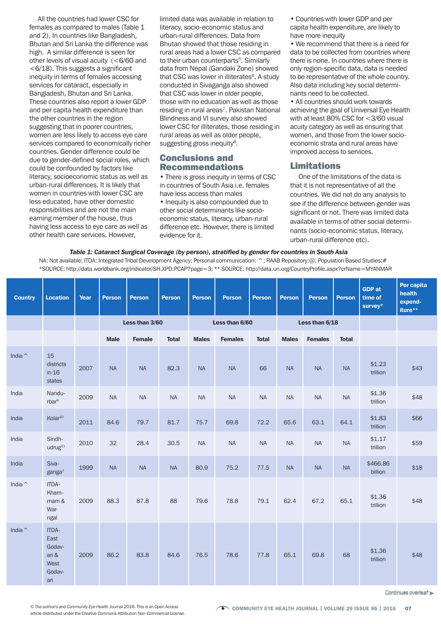All the countries had lower CSC for females as compared to males (Table 1 and 2). In countries like Bangladesh, Bhutan and Sri Lanka the difference was high. A similar difference is seen for other levels of visual acuity (<6/60 and <6/18). This suggests a significant inequity in terms of females accessing services for cataract, especially in Bangladesh, Bhutan and Sri Lanka. These countries also report a lower GDP and per capita health expenditure than the other countries in the region suggesting that in poorer countries, women are less likely to access eye care services compared to economically richer countries. Gender difference could be due to gender-defined social roles, which could be confounded by factors like literacy, socioeconomic status as well as urban-rural differences. It is likely that women in countries with lower CSC are less educated, have other domestic responsibilities and are not the main earning member of the house, thus having less access to eye care as well as other health care services. However,

limited data was available in relation to literacy, socio-economic status and urban-rural differences. Data from Bhutan showed that those residing in rural areas had a lower CSC as compared to their urban counterparts<sup>5</sup>. Similarly data from Nepal (Gandaki Zone) showed that CSC was lower in illiterates<sup>6</sup>. A study conducted in Sivaganga also showed that CSC was lower in older people, those with no education as well as those residing in rural areas<sup>7</sup>. Pakistan National Blindness and VI survey also showed lower CSC for illiterates, those residing in rural areas as well as older people, suggesting gross inequity<sup>8</sup>.

## Conclusions and Recommendations

• There is gross inequity in terms of CSC in countries of South Asia i.e. females have less access than males

• Inequity is also compounded due to other social determinants like socioeconomic status, literacy, urban-rural difference etc. However, there is limited evidence for it.

• Countries with lower GDP and per capita health expenditure, are likely to have more inequity

• We recommend that there is a need for data to be collected from countries where there is none. In countries where there is only region-specific data, data is needed to be representative of the whole country. Also data including key social determinants need to be collected.

• All countries should work towards achieving the goal of Universal Eye Health with at least 80% CSC for <3/60 visual acuity category as well as ensuring that women, and those from the lower socioeconomic strata and rural areas have improved access to services.

# Limitations

One of the limitations of the data is that it is not representative of all the countries. We did not do any analysis to see if the difference between gender was significant or not. There was limited data available in terms of other social determinants (socio-economic status, literacy, urban-rural difference etc).

#### *Table 1: Cataract Surgical Coverage (by person), stratified by gender for countries in South Asia*

NA: Not available; ITDA: Integrated Tribal Development Agency; Personal communication: ^; RAAB Repository:@; Population Based Studies; # \*SOURCE: http://data.worldbank.org/indicator/SH.XPD.PCAP?page=3; \*\* SOURCE: http://data.un.org/CountryProfile.aspx?crName=MYANMAR

| <b>Country</b>  | <b>Location</b>                                           | Year | <b>Person</b> | <b>Person</b>  | <b>Person</b> | <b>Person</b>  | <b>Person</b>  | <b>Person</b> | <b>Person</b>  | <b>Person</b>  | <b>Person</b> | <b>GDP</b> at<br>time of<br>survey* | Per capita<br>health<br>expend-<br>iture** |
|-----------------|-----------------------------------------------------------|------|---------------|----------------|---------------|----------------|----------------|---------------|----------------|----------------|---------------|-------------------------------------|--------------------------------------------|
|                 |                                                           |      |               | Less than 3/60 |               | Less than 6/60 |                |               | Less than 6/18 |                |               |                                     |                                            |
|                 |                                                           |      | <b>Male</b>   | Female         | <b>Total</b>  | <b>Males</b>   | <b>Females</b> | <b>Total</b>  | <b>Males</b>   | <b>Females</b> | <b>Total</b>  |                                     |                                            |
| India $\hat{}$  | 15<br>districts<br>in 16<br>states                        | 2007 | NA            | <b>NA</b>      | 82.3          | <b>NA</b>      | <b>NA</b>      | 66            | <b>NA</b>      | <b>NA</b>      | $\sf NA$      | \$1.23<br>trillion                  | \$43                                       |
| India           | Nandu-<br>rbar <sup>9</sup>                               | 2009 | $\sf NA$      | <b>NA</b>      | <b>NA</b>     | $\sf NA$       | <b>NA</b>      | <b>NA</b>     | $\sf NA$       | $\sf NA$       | $\sf NA$      | \$1.36<br>trillion                  | \$48                                       |
| India           | Kolar <sup>10</sup>                                       | 2011 | 84.6          | 79.7           | 81.7          | 75.7           | 69.8           | 72.2          | 65.6           | 63.1           | 64.1          | \$1.83<br>trillion                  | \$66                                       |
| India           | Sindh-<br>udrug <sup>11</sup>                             | 2010 | 32            | 28.4           | 30.5          | <b>NA</b>      | <b>NA</b>      | <b>NA</b>     | <b>NA</b>      | <b>NA</b>      | NA            | \$1.17<br>trillion                  | \$59                                       |
| India           | Siva-<br>$\gamma$ anga <sup>7</sup>                       | 1999 | <b>NA</b>     | <b>NA</b>      | <b>NA</b>     | 80.9           | 75.2           | 77.5          | <b>NA</b>      | <b>NA</b>      | <b>NA</b>     | \$466.86<br>billion                 | \$18                                       |
| India $\hat{ }$ | ITDA-<br>Kham-<br>mam &<br>War-<br>ngal                   | 2009 | 88.3          | 87.8           | 88            | 79.6           | 78.8           | 79.1          | 62.4           | 67.2           | 65.1          | \$1.36<br>trillion                  | \$48                                       |
| India $\hat{ }$ | ITDA-<br>East<br>Godav-<br>ari &<br>West<br>Godav-<br>ari | 2009 | 86.2          | 83.8           | 84.6          | 76.5           | 78.6           | 77.8          | 65.1           | 69.8           | 68            | \$1.36<br>trillion                  | \$48                                       |

Continues overleaf »

article distributed under the Creative Commons Attribution Non-Commercial License.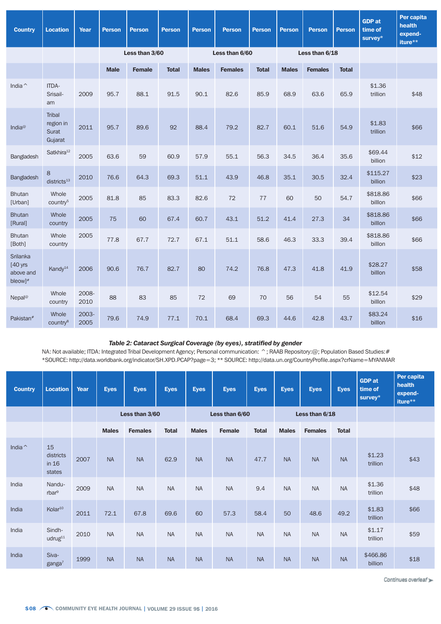| <b>Country</b>                                              | <b>Location</b>                                       | Year          | <b>Person</b>  | <b>Person</b> | <b>Person</b> | <b>Person</b>  | <b>Person</b>  | <b>Person</b> | <b>Person</b>  | <b>Person</b>  | <b>Person</b> | <b>GDP</b> at<br>time of<br>survey* | Per capita<br>health<br>expend-<br>iture** |
|-------------------------------------------------------------|-------------------------------------------------------|---------------|----------------|---------------|---------------|----------------|----------------|---------------|----------------|----------------|---------------|-------------------------------------|--------------------------------------------|
|                                                             |                                                       |               | Less than 3/60 |               |               | Less than 6/60 |                |               | Less than 6/18 |                |               |                                     |                                            |
|                                                             |                                                       |               | <b>Male</b>    | <b>Female</b> | <b>Total</b>  | <b>Males</b>   | <b>Females</b> | <b>Total</b>  | <b>Males</b>   | <b>Females</b> | <b>Total</b>  |                                     |                                            |
| India $\hat{ }$                                             | ITDA-<br>Srisail-<br>am                               | 2009          | 95.7           | 88.1          | 91.5          | 90.1           | 82.6           | 85.9          | 68.9           | 63.6           | 65.9          | \$1.36<br>trillion                  | \$48                                       |
| India <sup>@</sup>                                          | <b>Tribal</b><br>region in<br><b>Surat</b><br>Gujarat | 2011          | 95.7           | 89.6          | 92            | 88.4           | 79.2           | 82.7          | 60.1           | 51.6           | 54.9          | \$1.83<br>trillion                  | \$66                                       |
| Bangladesh                                                  | Satkhira <sup>12</sup>                                | 2005          | 63.6           | 59            | 60.9          | 57.9           | 55.1           | 56.3          | 34.5           | 36.4           | 35.6          | \$69.44<br>billion                  | \$12                                       |
| Bangladesh                                                  | 8<br>districts <sup>13</sup>                          | 2010          | 76.6           | 64.3          | 69.3          | 51.1           | 43.9           | 46.8          | 35.1           | 30.5           | 32.4          | \$115.27<br>billion                 | \$23                                       |
| <b>Bhutan</b><br>[Urban]                                    | Whole<br>country <sup>5</sup>                         | 2005          | 81.8           | 85            | 83.3          | 82.6           | 72             | 77            | 60             | 50             | 54.7          | \$818.86<br>billon                  | \$66                                       |
| <b>Bhutan</b><br>[Rural]                                    | Whole<br>country                                      | 2005          | 75             | 60            | 67.4          | 60.7           | 43.1           | 51.2          | 41.4           | 27.3           | 34            | \$818.86<br>billon                  | \$66                                       |
| <b>Bhutan</b><br>[Both]                                     | Whole<br>country                                      | 2005          | 77.8           | 67.7          | 72.7          | 67.1           | 51.1           | 58.6          | 46.3           | 33.3           | 39.4          | \$818.86<br>billon                  | \$66                                       |
| Srilanka<br>$[40$ yrs<br>above and<br>$bleow]$ <sup>#</sup> | Kandy <sup>14</sup>                                   | 2006          | 90.6           | 76.7          | 82.7          | 80             | 74.2           | 76.8          | 47.3           | 41.8           | 41.9          | \$28.27<br>billon                   | \$58                                       |
| Nepal <sup>@</sup>                                          | Whole<br>country                                      | 2008-<br>2010 | 88             | 83            | 85            | 72             | 69             | 70            | 56             | 54             | 55            | \$12.54<br>billon                   | \$29                                       |
| Pakistan <sup>#</sup>                                       | Whole<br>country <sup>8</sup>                         | 2003-<br>2005 | 79.6           | 74.9          | 77.1          | 70.1           | 68.4           | 69.3          | 44.6           | 42.8           | 43.7          | \$83.24<br>billon                   | \$16                                       |

## *Table 2: Cataract Surgical Coverage (by eyes), stratified by gender*

NA: Not available; ITDA: Integrated Tribal Development Agency; Personal communication: ^; RAAB Repository:@; Population Based Studies:# \*SOURCE: http://data.worldbank.org/indicator/SH.XPD.PCAP?page=3; \*\* SOURCE: http://data.un.org/CountryProfile.aspx?crName=MYANMAR

| <b>Country</b> | <b>Location</b>                      | Year | <b>Eyes</b>    | <b>Eyes</b>    | <b>Eyes</b>  | <b>Eyes</b>    | <b>Eyes</b>   | <b>Eyes</b>  | <b>Eyes</b>  | <b>Eyes</b>    | <b>Eyes</b>  | <b>GDP</b> at<br>time of<br>$s$ urvey $*$ | Per capita<br>health<br>expend-<br>iture** |
|----------------|--------------------------------------|------|----------------|----------------|--------------|----------------|---------------|--------------|--------------|----------------|--------------|-------------------------------------------|--------------------------------------------|
|                |                                      |      | Less than 3/60 |                |              | Less than 6/60 |               |              |              | Less than 6/18 |              |                                           |                                            |
|                |                                      |      | <b>Males</b>   | <b>Females</b> | <b>Total</b> | <b>Males</b>   | <b>Female</b> | <b>Total</b> | <b>Males</b> | <b>Females</b> | <b>Total</b> |                                           |                                            |
| India $\hat{}$ | 15<br>districts<br>in 16<br>states   | 2007 | <b>NA</b>      | <b>NA</b>      | 62.9         | <b>NA</b>      | <b>NA</b>     | 47.7         | <b>NA</b>    | <b>NA</b>      | <b>NA</b>    | \$1.23<br>trillion                        | \$43                                       |
| India          | Nandu-<br>rbar <sup>9</sup>          | 2009 | <b>NA</b>      | <b>NA</b>      | <b>NA</b>    | <b>NA</b>      | <b>NA</b>     | 9.4          | <b>NA</b>    | <b>NA</b>      | <b>NA</b>    | \$1.36<br>trillion                        | \$48                                       |
| India          | Kolar <sup>10</sup>                  | 2011 | 72.1           | 67.8           | 69.6         | 60             | 57.3          | 58.4         | 50           | 48.6           | 49.2         | \$1.83<br>trillion                        | \$66                                       |
| India          | Sindh-<br>udrug <sup>11</sup>        | 2010 | <b>NA</b>      | <b>NA</b>      | <b>NA</b>    | <b>NA</b>      | <b>NA</b>     | <b>NA</b>    | <b>NA</b>    | <b>NA</b>      | <b>NA</b>    | \$1.17<br>trillion                        | \$59                                       |
| India          | Siva-<br>$\gamma$ ganga <sup>7</sup> | 1999 | <b>NA</b>      | <b>NA</b>      | <b>NA</b>    | <b>NA</b>      | <b>NA</b>     | <b>NA</b>    | <b>NA</b>    | <b>NA</b>      | <b>NA</b>    | \$466.86<br>billion                       | \$18                                       |